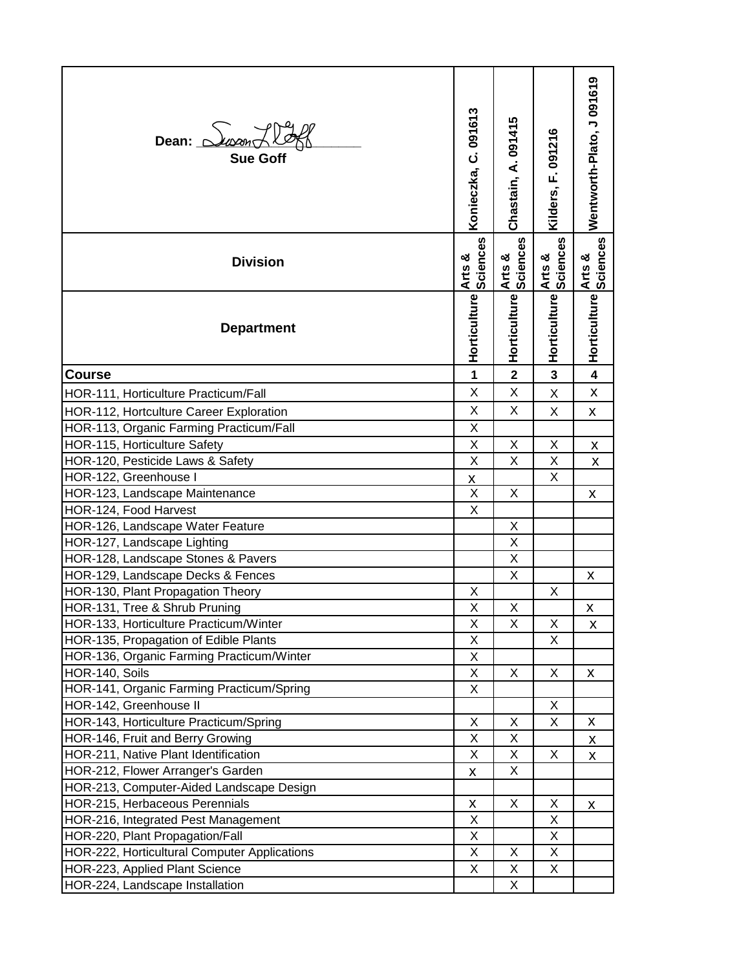| Dean: $\Delta$ usan $\angle$<br><b>Sue Goff</b> | Konieczka, C. 091613 | Chastain, A. 091415     | Kilders, F. 091216 | Wentworth-Plato, J 091619 |
|-------------------------------------------------|----------------------|-------------------------|--------------------|---------------------------|
| <b>Division</b>                                 | Arts &<br>Sciences   | Arts &<br>Sciences      | Arts &<br>Sciences | Arts &<br>Sciences        |
| <b>Department</b>                               | Horticulture         | Horticulture            | Horticulture       | Horticulture              |
| <b>Course</b>                                   | 1                    | $\overline{\mathbf{2}}$ | 3                  | $\overline{\mathbf{4}}$   |
| HOR-111, Horticulture Practicum/Fall            | Χ                    | X                       | X                  | X                         |
| HOR-112, Hortculture Career Exploration         | X                    | X                       | X                  | X                         |
| HOR-113, Organic Farming Practicum/Fall         | Χ                    |                         |                    |                           |
| HOR-115, Horticulture Safety                    | Χ                    | X                       | X                  | X                         |
| HOR-120, Pesticide Laws & Safety                | X                    | X                       | X                  | $\pmb{\mathsf{X}}$        |
| HOR-122, Greenhouse I                           | X                    |                         | X                  |                           |
| HOR-123, Landscape Maintenance                  | X                    | X                       |                    | X                         |
| HOR-124, Food Harvest                           | X                    |                         |                    |                           |
| HOR-126, Landscape Water Feature                |                      | X                       |                    |                           |
| HOR-127, Landscape Lighting                     |                      | Χ                       |                    |                           |
| HOR-128, Landscape Stones & Pavers              |                      | X                       |                    |                           |
| HOR-129, Landscape Decks & Fences               |                      | X                       |                    | X                         |
| HOR-130, Plant Propagation Theory               | Χ                    |                         | Χ                  |                           |
| HOR-131, Tree & Shrub Pruning                   | X                    | $\mathsf X$             |                    | X                         |
| HOR-133, Horticulture Practicum/Winter          | X                    | X                       | X                  | x                         |
| HOR-135, Propagation of Edible Plants           | X                    |                         | X                  |                           |
| HOR-136, Organic Farming Practicum/Winter       | Χ                    |                         |                    |                           |
| HOR-140, Soils                                  | X                    | X                       | X                  | X                         |
| HOR-141, Organic Farming Practicum/Spring       | X                    |                         |                    |                           |
| HOR-142, Greenhouse II                          |                      |                         | X                  |                           |
| HOR-143, Horticulture Practicum/Spring          | X                    | X                       | X                  | X                         |
| HOR-146, Fruit and Berry Growing                | X                    | Χ                       |                    | X                         |
| HOR-211, Native Plant Identification            | X                    | X                       | Χ                  | X                         |
| HOR-212, Flower Arranger's Garden               | X                    | X                       |                    |                           |
| HOR-213, Computer-Aided Landscape Design        |                      |                         |                    |                           |
| HOR-215, Herbaceous Perennials                  | $\pmb{\mathsf{X}}$   | X                       | X                  | X                         |
| HOR-216, Integrated Pest Management             | X                    |                         | X                  |                           |
| HOR-220, Plant Propagation/Fall                 | X                    |                         | X                  |                           |
| HOR-222, Horticultural Computer Applications    | X                    | Χ                       | X                  |                           |
| HOR-223, Applied Plant Science                  | X                    | Χ                       | X                  |                           |
| HOR-224, Landscape Installation                 |                      | X                       |                    |                           |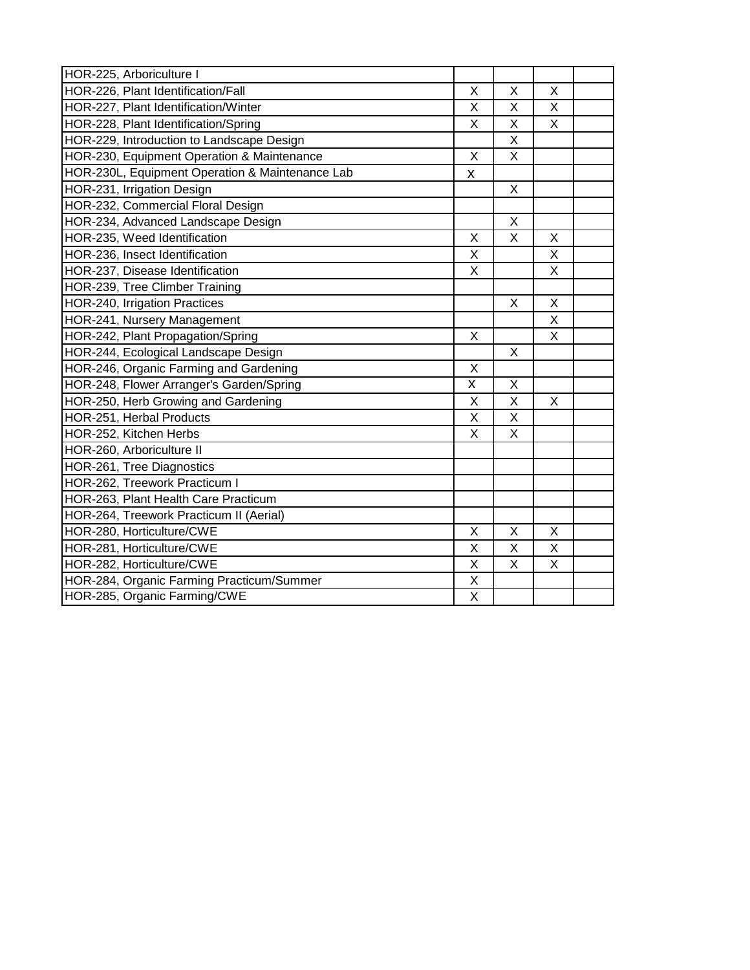| HOR-225, Arboriculture I                        |   |   |   |  |
|-------------------------------------------------|---|---|---|--|
| HOR-226, Plant Identification/Fall              | X | X | X |  |
| HOR-227, Plant Identification/Winter            | X | X | X |  |
| HOR-228, Plant Identification/Spring            | X | Χ | X |  |
| HOR-229, Introduction to Landscape Design       |   | X |   |  |
| HOR-230, Equipment Operation & Maintenance      | X | X |   |  |
| HOR-230L, Equipment Operation & Maintenance Lab | Χ |   |   |  |
| HOR-231, Irrigation Design                      |   | X |   |  |
| HOR-232, Commercial Floral Design               |   |   |   |  |
| HOR-234, Advanced Landscape Design              |   | X |   |  |
| HOR-235, Weed Identification                    | X | Χ | X |  |
| HOR-236, Insect Identification                  | X |   | X |  |
| HOR-237, Disease Identification                 | X |   | X |  |
| HOR-239, Tree Climber Training                  |   |   |   |  |
| HOR-240, Irrigation Practices                   |   | Χ | X |  |
| HOR-241, Nursery Management                     |   |   | X |  |
| HOR-242, Plant Propagation/Spring               | X |   | X |  |
| HOR-244, Ecological Landscape Design            |   | X |   |  |
| HOR-246, Organic Farming and Gardening          | X |   |   |  |
| HOR-248, Flower Arranger's Garden/Spring        | X | X |   |  |
| HOR-250, Herb Growing and Gardening             | X | X | X |  |
| HOR-251, Herbal Products                        | X | X |   |  |
| HOR-252, Kitchen Herbs                          | X | X |   |  |
| HOR-260, Arboriculture II                       |   |   |   |  |
| HOR-261, Tree Diagnostics                       |   |   |   |  |
| HOR-262, Treework Practicum I                   |   |   |   |  |
| HOR-263, Plant Health Care Practicum            |   |   |   |  |
| HOR-264, Treework Practicum II (Aerial)         |   |   |   |  |
| HOR-280, Horticulture/CWE                       | X | X | X |  |
| HOR-281, Horticulture/CWE                       | X | X | X |  |
| HOR-282, Horticulture/CWE                       | X | Χ | X |  |
| HOR-284, Organic Farming Practicum/Summer       | Χ |   |   |  |
| HOR-285, Organic Farming/CWE                    | X |   |   |  |